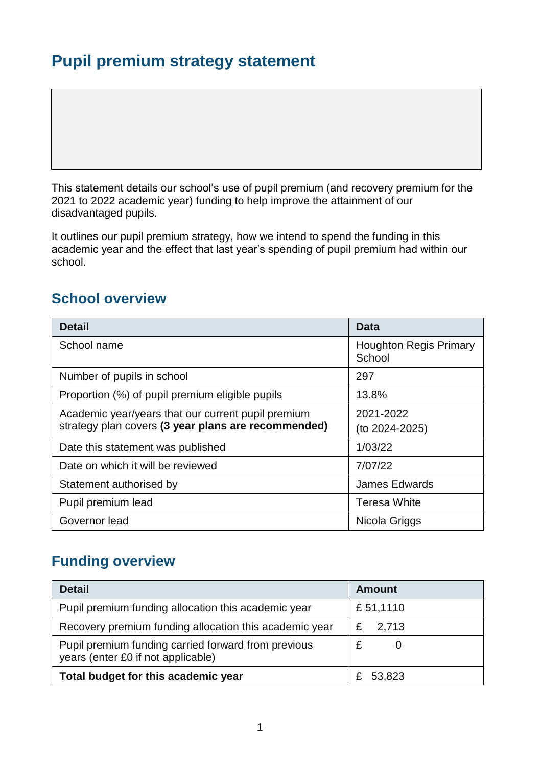# **Pupil premium strategy statement**

This statement details our school's use of pupil premium (and recovery premium for the 2021 to 2022 academic year) funding to help improve the attainment of our disadvantaged pupils.

It outlines our pupil premium strategy, how we intend to spend the funding in this academic year and the effect that last year's spending of pupil premium had within our school.

### **School overview**

| <b>Detail</b>                                       | Data                                    |
|-----------------------------------------------------|-----------------------------------------|
| School name                                         | <b>Houghton Regis Primary</b><br>School |
| Number of pupils in school                          | 297                                     |
| Proportion (%) of pupil premium eligible pupils     | 13.8%                                   |
| Academic year/years that our current pupil premium  | 2021-2022                               |
| strategy plan covers (3 year plans are recommended) | (to 2024-2025)                          |
| Date this statement was published                   | 1/03/22                                 |
| Date on which it will be reviewed                   | 7/07/22                                 |
| Statement authorised by                             | <b>James Edwards</b>                    |
| Pupil premium lead                                  | <b>Teresa White</b>                     |
| Governor lead                                       | Nicola Griggs                           |

### **Funding overview**

| <b>Detail</b>                                                                             | <b>Amount</b> |
|-------------------------------------------------------------------------------------------|---------------|
| Pupil premium funding allocation this academic year                                       | £51,1110      |
| Recovery premium funding allocation this academic year                                    | 2,713<br>£    |
| Pupil premium funding carried forward from previous<br>years (enter £0 if not applicable) |               |
| Total budget for this academic year                                                       | £ 53,823      |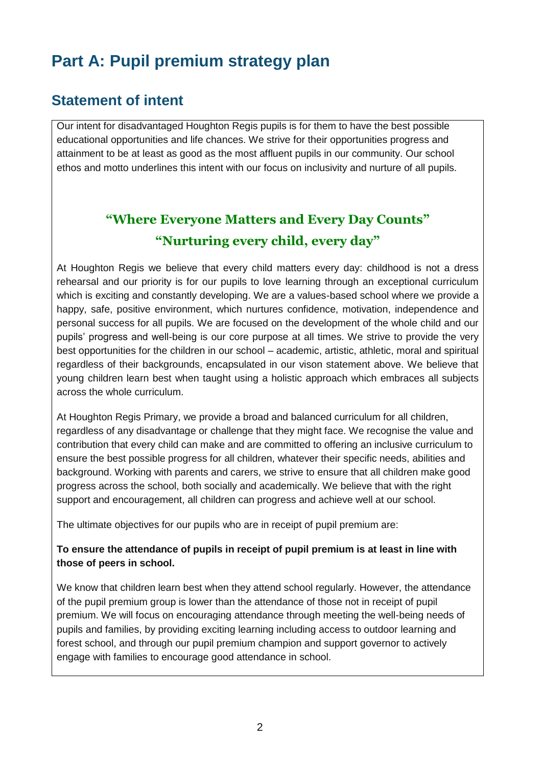# **Part A: Pupil premium strategy plan**

### **Statement of intent**

Our intent for disadvantaged Houghton Regis pupils is for them to have the best possible educational opportunities and life chances. We strive for their opportunities progress and attainment to be at least as good as the most affluent pupils in our community. Our school ethos and motto underlines this intent with our focus on inclusivity and nurture of all pupils.

# **"Where Everyone Matters and Every Day Counts" "Nurturing every child, every day"**

At Houghton Regis we believe that every child matters every day: childhood is not a dress rehearsal and our priority is for our pupils to love learning through an exceptional curriculum which is exciting and constantly developing. We are a values-based school where we provide a happy, safe, positive environment, which nurtures confidence, motivation, independence and personal success for all pupils. We are focused on the development of the whole child and our pupils' progress and well-being is our core purpose at all times. We strive to provide the very best opportunities for the children in our school – academic, artistic, athletic, moral and spiritual regardless of their backgrounds, encapsulated in our vison statement above. We believe that young children learn best when taught using a holistic approach which embraces all subjects across the whole curriculum.

At Houghton Regis Primary, we provide a broad and balanced curriculum for all children, regardless of any disadvantage or challenge that they might face. We recognise the value and contribution that every child can make and are committed to offering an inclusive curriculum to ensure the best possible progress for all children, whatever their specific needs, abilities and background. Working with parents and carers, we strive to ensure that all children make good progress across the school, both socially and academically. We believe that with the right support and encouragement, all children can progress and achieve well at our school.

The ultimate objectives for our pupils who are in receipt of pupil premium are:

#### **To ensure the attendance of pupils in receipt of pupil premium is at least in line with those of peers in school.**

We know that children learn best when they attend school regularly. However, the attendance of the pupil premium group is lower than the attendance of those not in receipt of pupil premium. We will focus on encouraging attendance through meeting the well-being needs of pupils and families, by providing exciting learning including access to outdoor learning and forest school, and through our pupil premium champion and support governor to actively engage with families to encourage good attendance in school.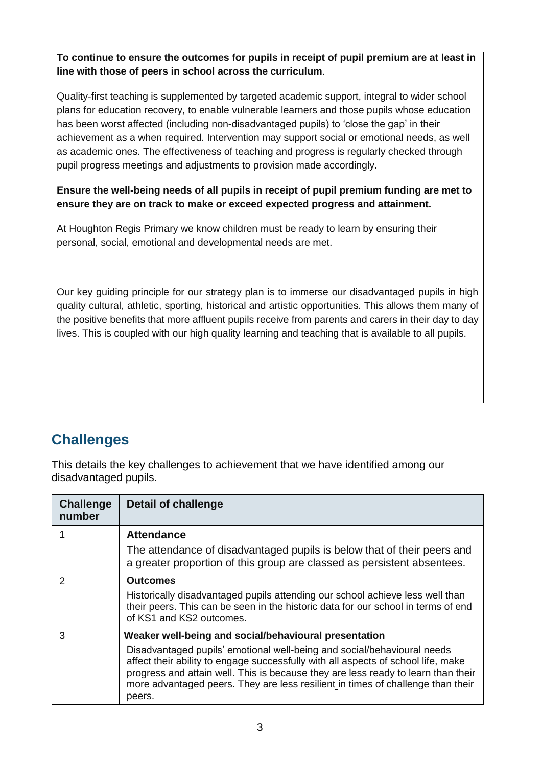**To continue to ensure the outcomes for pupils in receipt of pupil premium are at least in line with those of peers in school across the curriculum**.

Quality-first teaching is supplemented by targeted academic support, integral to wider school plans for education recovery, to enable vulnerable learners and those pupils whose education has been worst affected (including non-disadvantaged pupils) to 'close the gap' in their achievement as a when required. Intervention may support social or emotional needs, as well as academic ones. The effectiveness of teaching and progress is regularly checked through pupil progress meetings and adjustments to provision made accordingly.

#### **Ensure the well-being needs of all pupils in receipt of pupil premium funding are met to ensure they are on track to make or exceed expected progress and attainment.**

At Houghton Regis Primary we know children must be ready to learn by ensuring their personal, social, emotional and developmental needs are met.

Our key guiding principle for our strategy plan is to immerse our disadvantaged pupils in high quality cultural, athletic, sporting, historical and artistic opportunities. This allows them many of the positive benefits that more affluent pupils receive from parents and carers in their day to day lives. This is coupled with our high quality learning and teaching that is available to all pupils.

### **Challenges**

This details the key challenges to achievement that we have identified among our disadvantaged pupils.

| <b>Challenge</b><br>number | Detail of challenge                                                                                                                                                                                                                                                                                                                            |
|----------------------------|------------------------------------------------------------------------------------------------------------------------------------------------------------------------------------------------------------------------------------------------------------------------------------------------------------------------------------------------|
|                            | <b>Attendance</b>                                                                                                                                                                                                                                                                                                                              |
|                            | The attendance of disadvantaged pupils is below that of their peers and<br>a greater proportion of this group are classed as persistent absentees.                                                                                                                                                                                             |
| $\mathcal{P}$              | <b>Outcomes</b>                                                                                                                                                                                                                                                                                                                                |
|                            | Historically disadvantaged pupils attending our school achieve less well than<br>their peers. This can be seen in the historic data for our school in terms of end<br>of KS1 and KS2 outcomes.                                                                                                                                                 |
| 3                          | Weaker well-being and social/behavioural presentation                                                                                                                                                                                                                                                                                          |
|                            | Disadvantaged pupils' emotional well-being and social/behavioural needs<br>affect their ability to engage successfully with all aspects of school life, make<br>progress and attain well. This is because they are less ready to learn than their<br>more advantaged peers. They are less resilient in times of challenge than their<br>peers. |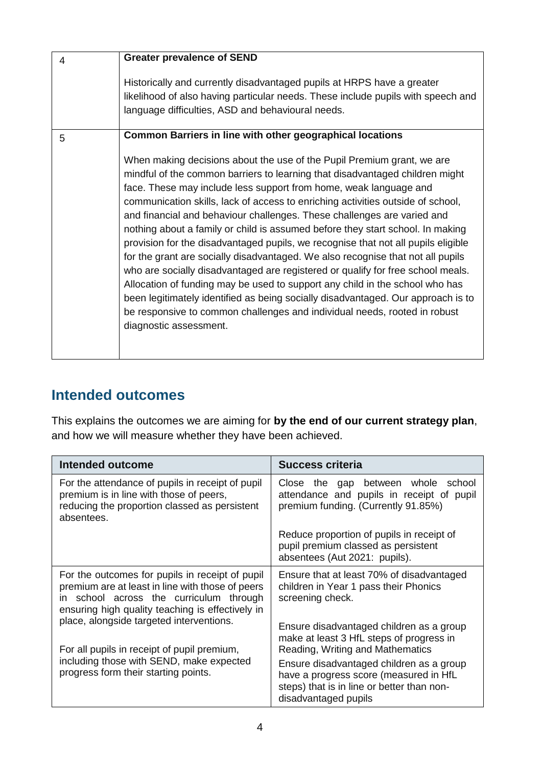| 4 | <b>Greater prevalence of SEND</b>                                                                                                                                                                                                                                                                                                                                                                                                                                                                                                                                                                                                                                                                                                                                                                                                                                                                                                                                                                                 |
|---|-------------------------------------------------------------------------------------------------------------------------------------------------------------------------------------------------------------------------------------------------------------------------------------------------------------------------------------------------------------------------------------------------------------------------------------------------------------------------------------------------------------------------------------------------------------------------------------------------------------------------------------------------------------------------------------------------------------------------------------------------------------------------------------------------------------------------------------------------------------------------------------------------------------------------------------------------------------------------------------------------------------------|
|   | Historically and currently disadvantaged pupils at HRPS have a greater<br>likelihood of also having particular needs. These include pupils with speech and<br>language difficulties, ASD and behavioural needs.                                                                                                                                                                                                                                                                                                                                                                                                                                                                                                                                                                                                                                                                                                                                                                                                   |
| 5 | <b>Common Barriers in line with other geographical locations</b>                                                                                                                                                                                                                                                                                                                                                                                                                                                                                                                                                                                                                                                                                                                                                                                                                                                                                                                                                  |
|   | When making decisions about the use of the Pupil Premium grant, we are<br>mindful of the common barriers to learning that disadvantaged children might<br>face. These may include less support from home, weak language and<br>communication skills, lack of access to enriching activities outside of school,<br>and financial and behaviour challenges. These challenges are varied and<br>nothing about a family or child is assumed before they start school. In making<br>provision for the disadvantaged pupils, we recognise that not all pupils eligible<br>for the grant are socially disadvantaged. We also recognise that not all pupils<br>who are socially disadvantaged are registered or qualify for free school meals.<br>Allocation of funding may be used to support any child in the school who has<br>been legitimately identified as being socially disadvantaged. Our approach is to<br>be responsive to common challenges and individual needs, rooted in robust<br>diagnostic assessment. |

# **Intended outcomes**

This explains the outcomes we are aiming for **by the end of our current strategy plan**, and how we will measure whether they have been achieved.

| Intended outcome                                                                                                                                                                                                                                  | <b>Success criteria</b>                                                                                                                                                                        |
|---------------------------------------------------------------------------------------------------------------------------------------------------------------------------------------------------------------------------------------------------|------------------------------------------------------------------------------------------------------------------------------------------------------------------------------------------------|
| For the attendance of pupils in receipt of pupil<br>premium is in line with those of peers,<br>reducing the proportion classed as persistent<br>absentees.                                                                                        | between whole<br>Close the<br>school<br>gap<br>attendance and pupils in receipt of pupil<br>premium funding. (Currently 91.85%)                                                                |
|                                                                                                                                                                                                                                                   | Reduce proportion of pupils in receipt of<br>pupil premium classed as persistent<br>absentees (Aut 2021: pupils).                                                                              |
| For the outcomes for pupils in receipt of pupil<br>premium are at least in line with those of peers<br>school across the curriculum through<br>ın<br>ensuring high quality teaching is effectively in<br>place, alongside targeted interventions. | Ensure that at least 70% of disadvantaged<br>children in Year 1 pass their Phonics<br>screening check.<br>Ensure disadvantaged children as a group<br>make at least 3 HfL steps of progress in |
| For all pupils in receipt of pupil premium,<br>including those with SEND, make expected<br>progress form their starting points.                                                                                                                   | Reading, Writing and Mathematics<br>Ensure disadvantaged children as a group<br>have a progress score (measured in HfL<br>steps) that is in line or better than non-<br>disadvantaged pupils   |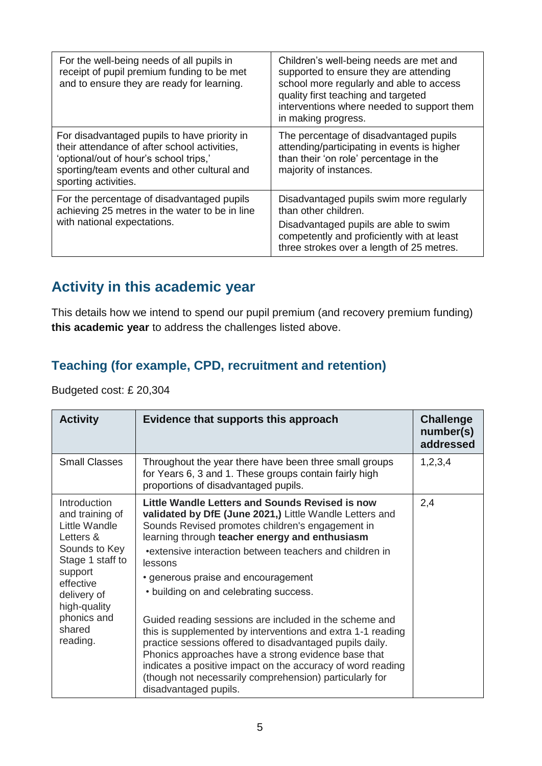| For the well-being needs of all pupils in<br>receipt of pupil premium funding to be met<br>and to ensure they are ready for learning.                                                                         | Children's well-being needs are met and<br>supported to ensure they are attending<br>school more regularly and able to access<br>quality first teaching and targeted<br>interventions where needed to support them<br>in making progress. |
|---------------------------------------------------------------------------------------------------------------------------------------------------------------------------------------------------------------|-------------------------------------------------------------------------------------------------------------------------------------------------------------------------------------------------------------------------------------------|
| For disadvantaged pupils to have priority in<br>their attendance of after school activities,<br>'optional/out of hour's school trips,'<br>sporting/team events and other cultural and<br>sporting activities. | The percentage of disadvantaged pupils<br>attending/participating in events is higher<br>than their 'on role' percentage in the<br>majority of instances.                                                                                 |
| For the percentage of disadvantaged pupils<br>achieving 25 metres in the water to be in line                                                                                                                  | Disadvantaged pupils swim more regularly<br>than other children.                                                                                                                                                                          |
| with national expectations.                                                                                                                                                                                   | Disadvantaged pupils are able to swim<br>competently and proficiently with at least<br>three strokes over a length of 25 metres.                                                                                                          |

# **Activity in this academic year**

This details how we intend to spend our pupil premium (and recovery premium funding) **this academic year** to address the challenges listed above.

#### **Teaching (for example, CPD, recruitment and retention)**

Budgeted cost: £ 20,304

| <b>Activity</b>                                                                                                                                                                                | Evidence that supports this approach                                                                                                                                                                                                                                                                                                                                                                                                                                                                                                                                                                                                                                                                                                                                   | <b>Challenge</b><br>number(s)<br>addressed |
|------------------------------------------------------------------------------------------------------------------------------------------------------------------------------------------------|------------------------------------------------------------------------------------------------------------------------------------------------------------------------------------------------------------------------------------------------------------------------------------------------------------------------------------------------------------------------------------------------------------------------------------------------------------------------------------------------------------------------------------------------------------------------------------------------------------------------------------------------------------------------------------------------------------------------------------------------------------------------|--------------------------------------------|
| <b>Small Classes</b>                                                                                                                                                                           | Throughout the year there have been three small groups<br>for Years 6, 3 and 1. These groups contain fairly high<br>proportions of disadvantaged pupils.                                                                                                                                                                                                                                                                                                                                                                                                                                                                                                                                                                                                               | 1,2,3,4                                    |
| Introduction<br>and training of<br>Little Wandle<br>Letters &<br>Sounds to Key<br>Stage 1 staff to<br>support<br>effective<br>delivery of<br>high-quality<br>phonics and<br>shared<br>reading. | Little Wandle Letters and Sounds Revised is now<br>validated by DfE (June 2021,) Little Wandle Letters and<br>Sounds Revised promotes children's engagement in<br>learning through teacher energy and enthusiasm<br>•extensive interaction between teachers and children in<br>lessons<br>• generous praise and encouragement<br>• building on and celebrating success.<br>Guided reading sessions are included in the scheme and<br>this is supplemented by interventions and extra 1-1 reading<br>practice sessions offered to disadvantaged pupils daily.<br>Phonics approaches have a strong evidence base that<br>indicates a positive impact on the accuracy of word reading<br>(though not necessarily comprehension) particularly for<br>disadvantaged pupils. | 2,4                                        |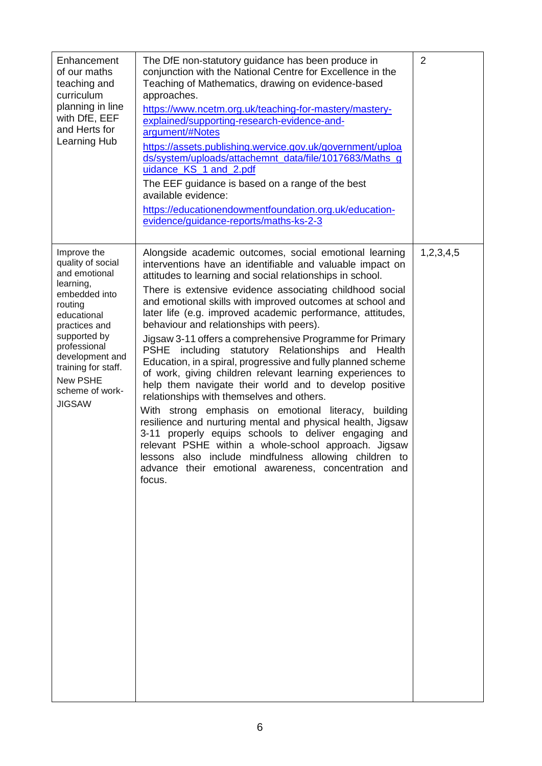| Enhancement<br>of our maths<br>teaching and<br>curriculum<br>planning in line<br>with DfE, EEF<br>and Herts for<br>Learning Hub                                                                                                                             | The DfE non-statutory guidance has been produce in<br>conjunction with the National Centre for Excellence in the<br>Teaching of Mathematics, drawing on evidence-based<br>approaches.<br>https://www.ncetm.org.uk/teaching-for-mastery/mastery-<br>explained/supporting-research-evidence-and-<br>argument/#Notes<br>https://assets.publishing.wervice.gov.uk/government/uploa<br>ds/system/uploads/attachemnt_data/file/1017683/Maths_g<br>uidance KS 1 and 2.pdf<br>The EEF guidance is based on a range of the best<br>available evidence:<br>https://educationendowmentfoundation.org.uk/education-<br>evidence/guidance-reports/maths-ks-2-3                                                                                                                                                                                                                                                                                                                                                                                                                                                                                          | $\overline{2}$ |
|-------------------------------------------------------------------------------------------------------------------------------------------------------------------------------------------------------------------------------------------------------------|--------------------------------------------------------------------------------------------------------------------------------------------------------------------------------------------------------------------------------------------------------------------------------------------------------------------------------------------------------------------------------------------------------------------------------------------------------------------------------------------------------------------------------------------------------------------------------------------------------------------------------------------------------------------------------------------------------------------------------------------------------------------------------------------------------------------------------------------------------------------------------------------------------------------------------------------------------------------------------------------------------------------------------------------------------------------------------------------------------------------------------------------|----------------|
| Improve the<br>quality of social<br>and emotional<br>learning,<br>embedded into<br>routing<br>educational<br>practices and<br>supported by<br>professional<br>development and<br>training for staff.<br><b>New PSHE</b><br>scheme of work-<br><b>JIGSAW</b> | Alongside academic outcomes, social emotional learning<br>interventions have an identifiable and valuable impact on<br>attitudes to learning and social relationships in school.<br>There is extensive evidence associating childhood social<br>and emotional skills with improved outcomes at school and<br>later life (e.g. improved academic performance, attitudes,<br>behaviour and relationships with peers).<br>Jigsaw 3-11 offers a comprehensive Programme for Primary<br>PSHE including statutory Relationships and Health<br>Education, in a spiral, progressive and fully planned scheme<br>of work, giving children relevant learning experiences to<br>help them navigate their world and to develop positive<br>relationships with themselves and others.<br>With strong emphasis on emotional literacy, building<br>resilience and nurturing mental and physical health, Jigsaw<br>3-11 properly equips schools to deliver engaging and<br>relevant PSHE within a whole-school approach. Jigsaw<br>lessons also include mindfulness allowing children to<br>advance their emotional awareness, concentration and<br>focus. | 1,2,3,4,5      |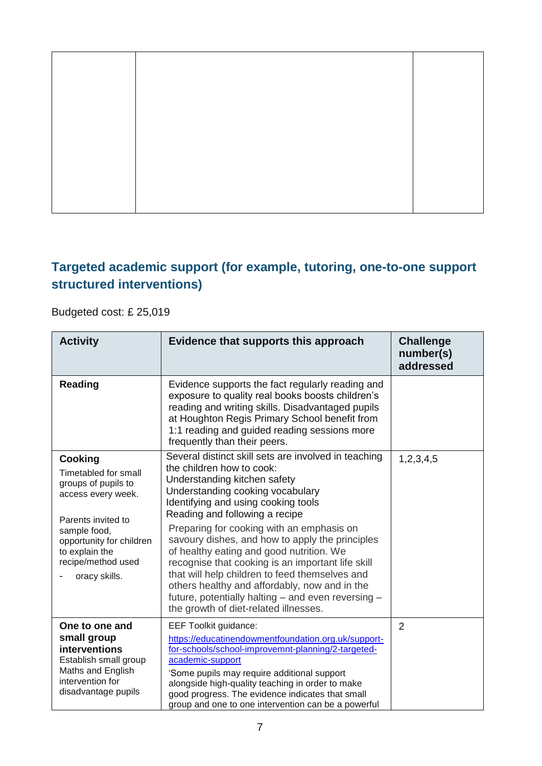### **Targeted academic support (for example, tutoring, one-to-one support structured interventions)**

Budgeted cost: £ 25,019

| <b>Activity</b>                                                                                                                                                                                                | Evidence that supports this approach                                                                                                                                                                                                                                                                                                                                                                                                                                                                                                                                                                                              | <b>Challenge</b><br>number(s)<br>addressed |
|----------------------------------------------------------------------------------------------------------------------------------------------------------------------------------------------------------------|-----------------------------------------------------------------------------------------------------------------------------------------------------------------------------------------------------------------------------------------------------------------------------------------------------------------------------------------------------------------------------------------------------------------------------------------------------------------------------------------------------------------------------------------------------------------------------------------------------------------------------------|--------------------------------------------|
| Reading                                                                                                                                                                                                        | Evidence supports the fact regularly reading and<br>exposure to quality real books boosts children's<br>reading and writing skills. Disadvantaged pupils<br>at Houghton Regis Primary School benefit from<br>1:1 reading and guided reading sessions more<br>frequently than their peers.                                                                                                                                                                                                                                                                                                                                         |                                            |
| <b>Cooking</b><br>Timetabled for small<br>groups of pupils to<br>access every week.<br>Parents invited to<br>sample food,<br>opportunity for children<br>to explain the<br>recipe/method used<br>oracy skills. | Several distinct skill sets are involved in teaching<br>the children how to cook:<br>Understanding kitchen safety<br>Understanding cooking vocabulary<br>Identifying and using cooking tools<br>Reading and following a recipe<br>Preparing for cooking with an emphasis on<br>savoury dishes, and how to apply the principles<br>of healthy eating and good nutrition. We<br>recognise that cooking is an important life skill<br>that will help children to feed themselves and<br>others healthy and affordably, now and in the<br>future, potentially halting - and even reversing -<br>the growth of diet-related illnesses. | 1,2,3,4,5                                  |
| One to one and<br>small group<br>interventions<br>Establish small group<br>Maths and English<br>intervention for<br>disadvantage pupils                                                                        | <b>EEF Toolkit guidance:</b><br>https://educatinendowmentfoundation.org.uk/support-<br>for-schools/school-improvemnt-planning/2-targeted-<br>academic-support<br>'Some pupils may require additional support<br>alongside high-quality teaching in order to make<br>good progress. The evidence indicates that small<br>group and one to one intervention can be a powerful                                                                                                                                                                                                                                                       | $\overline{2}$                             |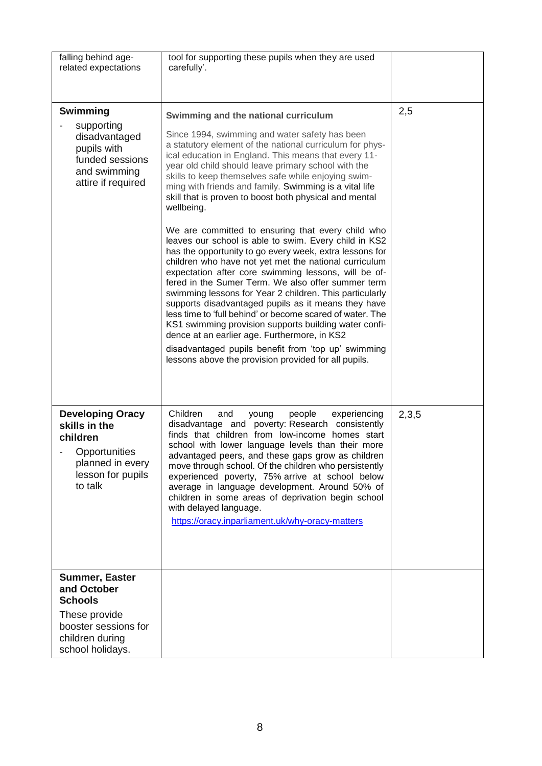| falling behind age-<br>related expectations                                                                                            | tool for supporting these pupils when they are used<br>carefully'.                                                                                                                                                                                                                                                                                                                                                                                                                                                                                                                                                                                                                                                                                                                                                                                                                                                                                                                                                                                                                                                                                                                                                |       |
|----------------------------------------------------------------------------------------------------------------------------------------|-------------------------------------------------------------------------------------------------------------------------------------------------------------------------------------------------------------------------------------------------------------------------------------------------------------------------------------------------------------------------------------------------------------------------------------------------------------------------------------------------------------------------------------------------------------------------------------------------------------------------------------------------------------------------------------------------------------------------------------------------------------------------------------------------------------------------------------------------------------------------------------------------------------------------------------------------------------------------------------------------------------------------------------------------------------------------------------------------------------------------------------------------------------------------------------------------------------------|-------|
| Swimming<br>supporting<br>disadvantaged<br>pupils with<br>funded sessions<br>and swimming<br>attire if required                        | Swimming and the national curriculum<br>Since 1994, swimming and water safety has been<br>a statutory element of the national curriculum for phys-<br>ical education in England. This means that every 11-<br>year old child should leave primary school with the<br>skills to keep themselves safe while enjoying swim-<br>ming with friends and family. Swimming is a vital life<br>skill that is proven to boost both physical and mental<br>wellbeing.<br>We are committed to ensuring that every child who<br>leaves our school is able to swim. Every child in KS2<br>has the opportunity to go every week, extra lessons for<br>children who have not yet met the national curriculum<br>expectation after core swimming lessons, will be of-<br>fered in the Sumer Term. We also offer summer term<br>swimming lessons for Year 2 children. This particularly<br>supports disadvantaged pupils as it means they have<br>less time to 'full behind' or become scared of water. The<br>KS1 swimming provision supports building water confi-<br>dence at an earlier age. Furthermore, in KS2<br>disadvantaged pupils benefit from 'top up' swimming<br>lessons above the provision provided for all pupils. | 2,5   |
| <b>Developing Oracy</b><br>skills in the<br>children<br>Opportunities<br>planned in every<br>lesson for pupils<br>to talk              | Children<br>people<br>experiencing<br>and<br>young<br>disadvantage and poverty: Research consistently<br>finds that children from low-income homes start<br>school with lower language levels than their more<br>advantaged peers, and these gaps grow as children<br>move through school. Of the children who persistently<br>experienced poverty, 75% arrive at school below<br>average in language development. Around 50% of<br>children in some areas of deprivation begin school<br>with delayed language.<br>https://oracy.inparliament.uk/why-oracy-matters                                                                                                                                                                                                                                                                                                                                                                                                                                                                                                                                                                                                                                               | 2,3,5 |
| <b>Summer, Easter</b><br>and October<br><b>Schools</b><br>These provide<br>booster sessions for<br>children during<br>school holidays. |                                                                                                                                                                                                                                                                                                                                                                                                                                                                                                                                                                                                                                                                                                                                                                                                                                                                                                                                                                                                                                                                                                                                                                                                                   |       |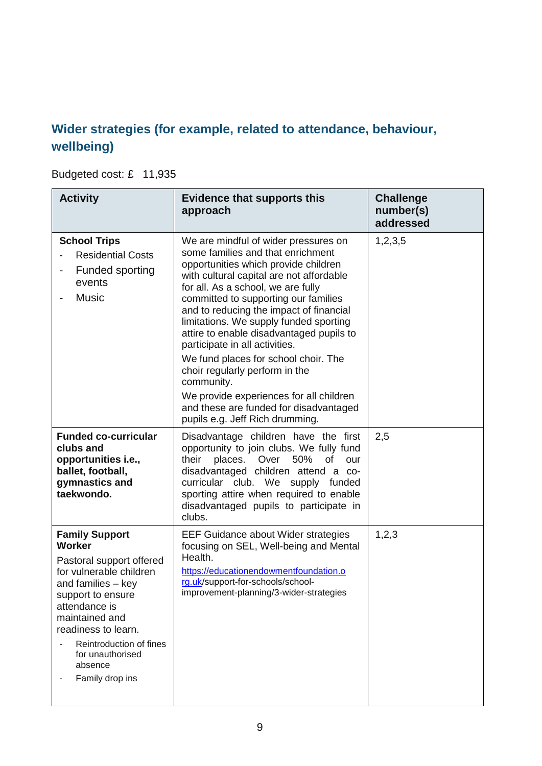### **Wider strategies (for example, related to attendance, behaviour, wellbeing)**

Budgeted cost: £ 11,935

| <b>Activity</b>                                                                                                                                                                                                                                                            | <b>Evidence that supports this</b><br>approach                                                                                                                                                                                                                                                                                                                                                                                                         | <b>Challenge</b><br>number(s)<br>addressed |
|----------------------------------------------------------------------------------------------------------------------------------------------------------------------------------------------------------------------------------------------------------------------------|--------------------------------------------------------------------------------------------------------------------------------------------------------------------------------------------------------------------------------------------------------------------------------------------------------------------------------------------------------------------------------------------------------------------------------------------------------|--------------------------------------------|
| <b>School Trips</b><br><b>Residential Costs</b><br>Funded sporting<br>events<br><b>Music</b>                                                                                                                                                                               | We are mindful of wider pressures on<br>some families and that enrichment<br>opportunities which provide children<br>with cultural capital are not affordable<br>for all. As a school, we are fully<br>committed to supporting our families<br>and to reducing the impact of financial<br>limitations. We supply funded sporting<br>attire to enable disadvantaged pupils to<br>participate in all activities.<br>We fund places for school choir. The | 1,2,3,5                                    |
|                                                                                                                                                                                                                                                                            | choir regularly perform in the<br>community.<br>We provide experiences for all children<br>and these are funded for disadvantaged                                                                                                                                                                                                                                                                                                                      |                                            |
| <b>Funded co-curricular</b><br>clubs and<br>opportunities i.e.,<br>ballet, football,<br>gymnastics and<br>taekwondo.                                                                                                                                                       | pupils e.g. Jeff Rich drumming.<br>Disadvantage children have the first<br>opportunity to join clubs. We fully fund<br>their<br>50%<br>places.<br>Over<br>of<br>our<br>disadvantaged children attend a co-<br>curricular club. We<br>supply funded<br>sporting attire when required to enable<br>disadvantaged pupils to participate in<br>clubs.                                                                                                      | 2,5                                        |
| <b>Family Support</b><br>Worker<br>Pastoral support offered<br>for vulnerable children<br>and families $-$ key<br>support to ensure<br>attendance is<br>maintained and<br>readiness to learn.<br>Reintroduction of fines<br>for unauthorised<br>absence<br>Family drop ins | <b>EEF Guidance about Wider strategies</b><br>focusing on SEL, Well-being and Mental<br>Health.<br>https://educationendowmentfoundation.o<br>rg.uk/support-for-schools/school-<br>improvement-planning/3-wider-strategies                                                                                                                                                                                                                              | 1,2,3                                      |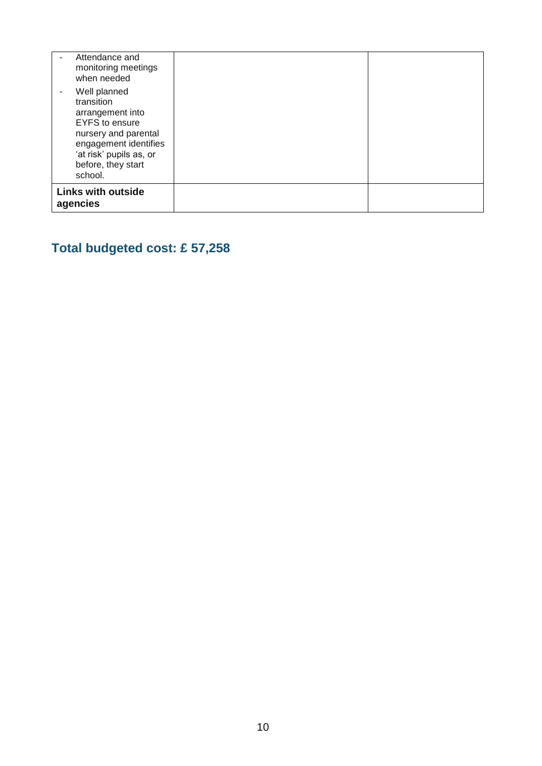| Attendance and<br>monitoring meetings<br>when needed                                                                                                   |  |
|--------------------------------------------------------------------------------------------------------------------------------------------------------|--|
| Well planned<br>transition                                                                                                                             |  |
| arrangement into<br><b>EYFS</b> to ensure<br>nursery and parental<br>engagement identifies<br>'at risk' pupils as, or<br>before, they start<br>school. |  |
| <b>Links with outside</b><br>agencies                                                                                                                  |  |

# **Total budgeted cost: £ 57,258**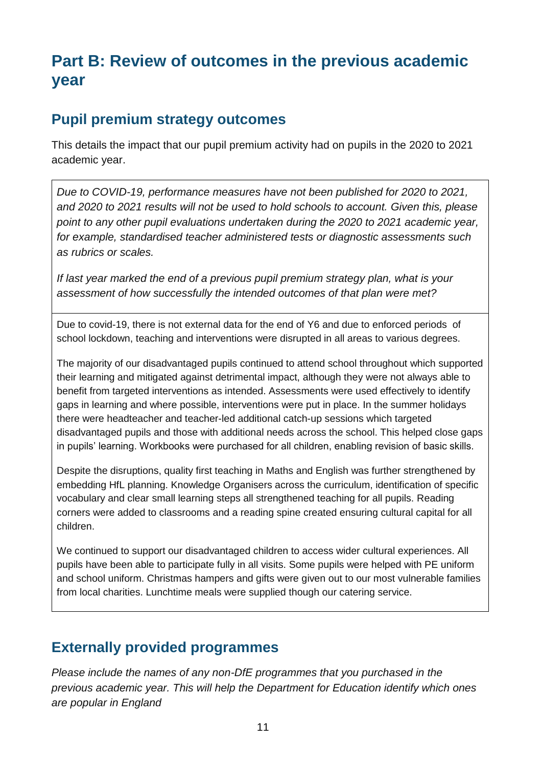# **Part B: Review of outcomes in the previous academic year**

#### **Pupil premium strategy outcomes**

This details the impact that our pupil premium activity had on pupils in the 2020 to 2021 academic year.

*Due to COVID-19, performance measures have not been published for 2020 to 2021, and 2020 to 2021 results will not be used to hold schools to account. Given this, please point to any other pupil evaluations undertaken during the 2020 to 2021 academic year, for example, standardised teacher administered tests or diagnostic assessments such as rubrics or scales.*

*If last year marked the end of a previous pupil premium strategy plan, what is your assessment of how successfully the intended outcomes of that plan were met?* 

Due to covid-19, there is not external data for the end of Y6 and due to enforced periods of school lockdown, teaching and interventions were disrupted in all areas to various degrees.

The majority of our disadvantaged pupils continued to attend school throughout which supported their learning and mitigated against detrimental impact, although they were not always able to benefit from targeted interventions as intended. Assessments were used effectively to identify gaps in learning and where possible, interventions were put in place. In the summer holidays there were headteacher and teacher-led additional catch-up sessions which targeted disadvantaged pupils and those with additional needs across the school. This helped close gaps in pupils' learning. Workbooks were purchased for all children, enabling revision of basic skills.

Despite the disruptions, quality first teaching in Maths and English was further strengthened by embedding HfL planning. Knowledge Organisers across the curriculum, identification of specific vocabulary and clear small learning steps all strengthened teaching for all pupils. Reading corners were added to classrooms and a reading spine created ensuring cultural capital for all children.

We continued to support our disadvantaged children to access wider cultural experiences. All pupils have been able to participate fully in all visits. Some pupils were helped with PE uniform and school uniform. Christmas hampers and gifts were given out to our most vulnerable families from local charities. Lunchtime meals were supplied though our catering service.

### **Externally provided programmes**

*Please include the names of any non-DfE programmes that you purchased in the previous academic year. This will help the Department for Education identify which ones are popular in England*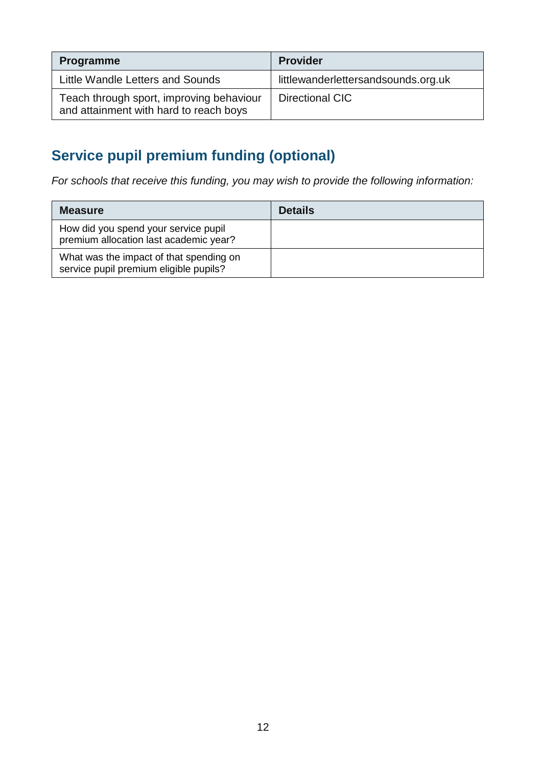| <b>Programme</b>                                                                   | <b>Provider</b>                     |
|------------------------------------------------------------------------------------|-------------------------------------|
| Little Wandle Letters and Sounds                                                   | littlewanderlettersandsounds.org.uk |
| Teach through sport, improving behaviour<br>and attainment with hard to reach boys | Directional CIC                     |

# **Service pupil premium funding (optional)**

*For schools that receive this funding, you may wish to provide the following information:* 

| <b>Measure</b>                                                                    | <b>Details</b> |
|-----------------------------------------------------------------------------------|----------------|
| How did you spend your service pupil<br>premium allocation last academic year?    |                |
| What was the impact of that spending on<br>service pupil premium eligible pupils? |                |